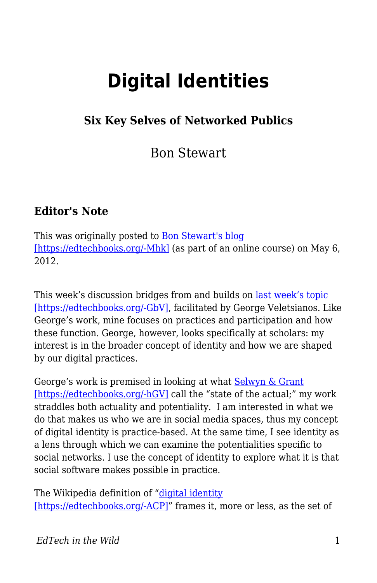# **Digital Identities**

#### **Six Key Selves of Networked Publics**

Bon Stewart

#### **Editor's Note**

This was originally posted to **Bon Stewart's blog** [\[https://edtechbooks.org/-Mhk\]](http://theory.cribchronicles.com/2012/05/06/digital-identities-six-key-selves/) (as part of an online course) on May 6, 2012.

This week's discussion bridges from and builds on <u>[last week's topic](http://www.veletsianos.com/2012/04/30/scholars-online-participation-and-practices-my-change11/)</u> [\[https://edtechbooks.org/-GbV\],](http://www.veletsianos.com/2012/04/30/scholars-online-participation-and-practices-my-change11/) facilitated by George Veletsianos. Like George's work, mine focuses on practices and participation and how these function. George, however, looks specifically at scholars: my interest is in the broader concept of identity and how we are shaped by our digital practices.

George's work is premised in looking at what **Selwyn & Grant** [\[https://edtechbooks.org/-hGV\]](http://bristol.academia.edu/LyndsayGrant/Papers/1489424/Researching_the_realities_of_social_software_use_an_introduction) call the "state of the actual;" my work straddles both actuality and potentiality. I am interested in what we do that makes us who we are in social media spaces, thus my concept of digital identity is practice-based. At the same time, I see identity as a lens through which we can examine the potentialities specific to social networks. I use the concept of identity to explore what it is that social software makes possible in practice.

The Wikipedia definition of ["digital identity](http://en.wikipedia.org/wiki/Digital_identity) [\[https://edtechbooks.org/-ACP\]"](http://en.wikipedia.org/wiki/Digital_identity) frames it, more or less, as the set of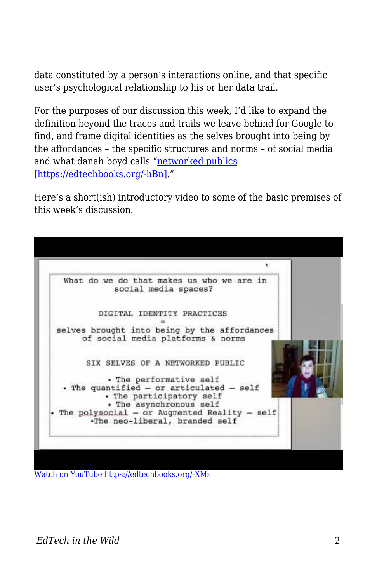data constituted by a person's interactions online, and that specific user's psychological relationship to his or her data trail.

For the purposes of our discussion this week, I'd like to expand the definition beyond the traces and trails we leave behind for Google to find, and frame digital identities as the selves brought into being by the affordances – the specific structures and norms – of social media and what danah boyd calls ["networked publics](http://www.danah.org/papers/2010/SNSasNetworkedPublics.pdf) [\[https://edtechbooks.org/-hBn\].](http://www.danah.org/papers/2010/SNSasNetworkedPublics.pdf)"

Here's a short(ish) introductory video to some of the basic premises of this week's discussion.



[Watch on YouTube https://edtechbooks.org/-XMs](https://www.youtube.com/embed/nrz8UyIHKW4?autoplay=1&rel=0&showinfo=0&modestbranding=1)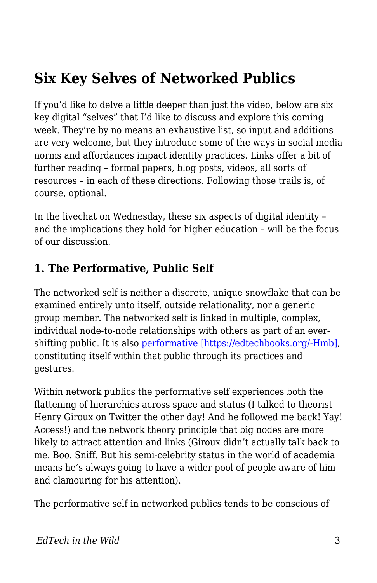## **Six Key Selves of Networked Publics**

If you'd like to delve a little deeper than just the video, below are six key digital "selves" that I'd like to discuss and explore this coming week. They're by no means an exhaustive list, so input and additions are very welcome, but they introduce some of the ways in social media norms and affordances impact identity practices. Links offer a bit of further reading – formal papers, blog posts, videos, all sorts of resources – in each of these directions. Following those trails is, of course, optional.

In the livechat on Wednesday, these six aspects of digital identity – and the implications they hold for higher education – will be the focus of our discussion.

#### **1. The Performative, Public Self**

The networked self is neither a discrete, unique snowflake that can be examined entirely unto itself, outside relationality, nor a generic group member. The networked self is linked in multiple, complex, individual node-to-node relationships with others as part of an evershifting public. It is also [performative \[https://edtechbooks.org/-Hmb\]](http://www.marathonpacks.com/2010/02/performative-part-i/), constituting itself within that public through its practices and gestures.

Within network publics the performative self experiences both the flattening of hierarchies across space and status (I talked to theorist Henry Giroux on Twitter the other day! And he followed me back! Yay! Access!) and the network theory principle that big nodes are more likely to attract attention and links (Giroux didn't actually talk back to me. Boo. Sniff. But his semi-celebrity status in the world of academia means he's always going to have a wider pool of people aware of him and clamouring for his attention).

The performative self in networked publics tends to be conscious of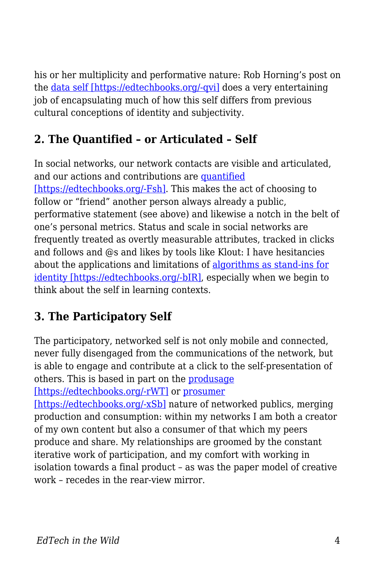his or her multiplicity and performative nature: Rob Horning's post on the [data self \[https://edtechbooks.org/-qvi\]](http://thenewinquiry.com/blogs/marginal-utility/dumb-bullshit/) does a very entertaining job of encapsulating much of how this self differs from previous cultural conceptions of identity and subjectivity.

#### **2. The Quantified – or Articulated – Self**

In social networks, our network contacts are visible and articulated, and our actions and contributions are [quantified](http://hackeducation.com/2012/04/30/the-quantified-self-and-learning-analytics/) [\[https://edtechbooks.org/-Fsh\]](http://hackeducation.com/2012/04/30/the-quantified-self-and-learning-analytics/). This makes the act of choosing to follow or "friend" another person always already a public, performative statement (see above) and likewise a notch in the belt of one's personal metrics. Status and scale in social networks are frequently treated as overtly measurable attributes, tracked in clicks and follows and @s and likes by tools like Klout: I have hesitancies about the applications and limitations of [algorithms as stand-ins for](http://www.salon.com/2011/11/13/klout_is_bad_for_your_soul/) [identity \[https://edtechbooks.org/-bIR\]](http://www.salon.com/2011/11/13/klout_is_bad_for_your_soul/), especially when we begin to think about the self in learning contexts.

### **3. The Participatory Self**

The participatory, networked self is not only mobile and connected, never fully disengaged from the communications of the network, but is able to engage and contribute at a click to the self-presentation of others. This is based in part on the **produsage** 

[\[https://edtechbooks.org/-rWT\]](http://produsage.org/files/Produsage%20(Creativity%20and%20Cognition%202007).pdf) or [prosumer](http://joc.sagepub.com/content/10/1/13.short)

[\[https://edtechbooks.org/-xSb\]](http://joc.sagepub.com/content/10/1/13.short) nature of networked publics, merging production and consumption: within my networks I am both a creator of my own content but also a consumer of that which my peers produce and share. My relationships are groomed by the constant iterative work of participation, and my comfort with working in isolation towards a final product – as was the paper model of creative work – recedes in the rear-view mirror.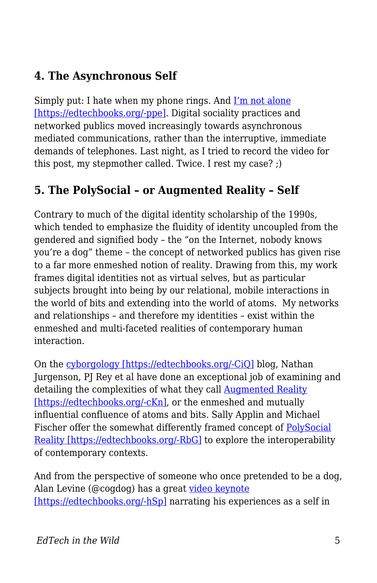#### **4. The Asynchronous Self**

Simply put: I hate when my phone rings. And [I'm not alone](http://www.dailymail.co.uk/femail/article-2103456/Call-crazy-I-HATE-phone.html) [\[https://edtechbooks.org/-ppe\]](http://www.dailymail.co.uk/femail/article-2103456/Call-crazy-I-HATE-phone.html). Digital sociality practices and networked publics moved increasingly towards asynchronous mediated communications, rather than the interruptive, immediate demands of telephones. Last night, as I tried to record the video for this post, my stepmother called. Twice. I rest my case? ;)

#### **5. The PolySocial – or Augmented Reality – Self**

Contrary to much of the digital identity scholarship of the 1990s, which tended to emphasize the fluidity of identity uncoupled from the gendered and signified body – the "on the Internet, nobody knows you're a dog" theme – the concept of networked publics has given rise to a far more enmeshed notion of reality. Drawing from this, my work frames digital identities not as virtual selves, but as particular subjects brought into being by our relational, mobile interactions in the world of bits and extending into the world of atoms. My networks and relationships – and therefore my identities – exist within the enmeshed and multi-faceted realities of contemporary human interaction.

On the [cyborgology \[https://edtechbooks.org/-CiQ\]](http://thesocietypages.org/cyborgology/) blog, Nathan Jurgenson, PJ Rey et al have done an exceptional job of examining and detailing the complexities of what they call [Augmented Reality](http://thesocietypages.org/cyborgology/2011/04/29/defending-and-clarifying-the-term-augmented-reality/) [\[https://edtechbooks.org/-cKn\],](http://thesocietypages.org/cyborgology/2011/04/29/defending-and-clarifying-the-term-augmented-reality/) or the enmeshed and mutually influential confluence of atoms and bits. Sally Applin and Michael Fischer offer the somewhat differently framed concept of [PolySocial](http://www.dfki.de/LAMDa/accepted/ACulturalPerspective.pdf) [Reality \[https://edtechbooks.org/-RbG\]](http://www.dfki.de/LAMDa/accepted/ACulturalPerspective.pdf) to explore the interoperability of contemporary contexts.

And from the perspective of someone who once pretended to be a dog, Alan Levine (@cogdog) has a great [video keynote](http://cogdog.wikispaces.com/flatclassroom2012) [\[https://edtechbooks.org/-hSp\]](http://cogdog.wikispaces.com/flatclassroom2012) narrating his experiences as a self in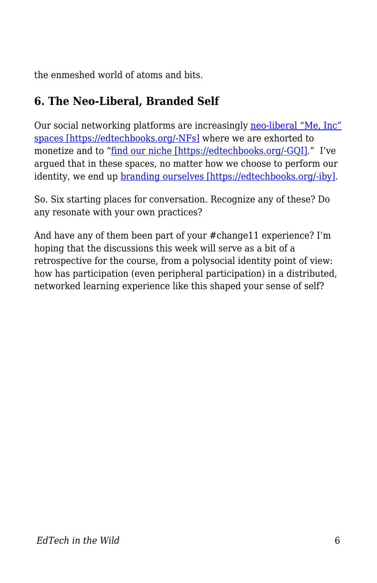the enmeshed world of atoms and bits.

#### **6. The Neo-Liberal, Branded Self**

Our social networking platforms are increasingly [neo-liberal "Me, Inc"](http://www.popmatters.com/pm/post/138394-/) [spaces \[https://edtechbooks.org/-NFs\]](http://www.popmatters.com/pm/post/138394-/) where we are exhorted to monetize and to "[find our niche \[https://edtechbooks.org/-GQI\]](http://theory.cribchronicles.com/2012/04/04/find-your-niche-can-suck-my-elephant/)." I've argued that in these spaces, no matter how we choose to perform our identity, we end up [branding ourselves \[https://edtechbooks.org/-iby\]](http://cribchronicles.com/2010/06/08/own-it/).

So. Six starting places for conversation. Recognize any of these? Do any resonate with your own practices?

And have any of them been part of your #change11 experience? I'm hoping that the discussions this week will serve as a bit of a retrospective for the course, from a polysocial identity point of view: how has participation (even peripheral participation) in a distributed, networked learning experience like this shaped your sense of self?